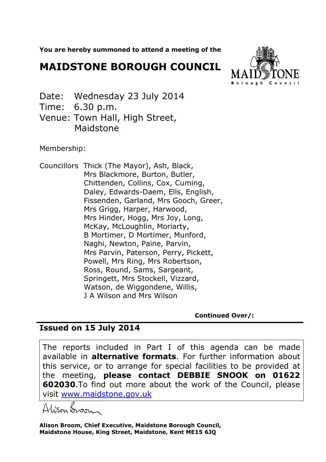**You are hereby summoned to attend a meeting of the**

## **MAIDSTONE BOROUGH COUNCIL**



- Date: Wednesday 23 July 2014
- Time: 6.30 p.m.
- Venue: Town Hall, High Street, Maidstone

Membership:

Councillors Thick (The Mayor), Ash, Black, Mrs Blackmore, Burton, Butler, Chittenden, Collins, Cox, Cuming, Daley, Edwards-Daem, Ells, English, Fissenden, Garland, Mrs Gooch, Greer, Mrs Grigg, Harper, Harwood, Mrs Hinder, Hogg, Mrs Joy, Long, McKay, McLoughlin, Moriarty, B Mortimer, D Mortimer, Munford, Naghi, Newton, Paine, Parvin, Mrs Parvin, Paterson, Perry, Pickett, Powell, Mrs Ring, Mrs Robertson, Ross, Round, Sams, Sargeant, Springett, Mrs Stockell, Vizzard, Watson, de Wiggondene, Willis, J A Wilson and Mrs Wilson

**Continued Over/:** 

## **Issued on 15 July 2014**

The reports included in Part I of this agenda can be made available in **alternative formats**. For further information about this service, or to arrange for special facilities to be provided at the meeting, **please contact DEBBIE SNOOK on 01622 602030**.To find out more about the work of the Council, please visit www.maidstone.gov.uk

Alisan Boore

**Alison Broom, Chief Executive, Maidstone Borough Council, Maidstone House, King Street, Maidstone, Kent ME15 6JQ**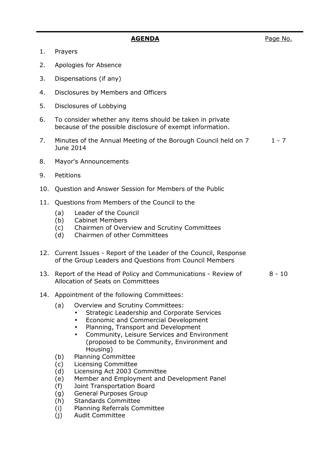- 1. Prayers
- 2. Apologies for Absence
- 3. Dispensations (if any)
- 4. Disclosures by Members and Officers
- 5. Disclosures of Lobbying
- 6. To consider whether any items should be taken in private because of the possible disclosure of exempt information.
- 7. Minutes of the Annual Meeting of the Borough Council held on 7 June 2014  $1 - 7$
- 8. Mayor's Announcements
- 9. Petitions
- 10. Question and Answer Session for Members of the Public
- 11. Questions from Members of the Council to the
	- (a) Leader of the Council
	- (b) Cabinet Members
	- (c) Chairmen of Overview and Scrutiny Committees
	- (d) Chairmen of other Committees
- 12. Current Issues Report of the Leader of the Council, Response of the Group Leaders and Questions from Council Members
- 13. Report of the Head of Policy and Communications Review of Allocation of Seats on Committees  $8 - 10$
- 14. Appointment of the following Committees:
	- (a) Overview and Scrutiny Committees:
		- Strategic Leadership and Corporate Services
		- Economic and Commercial Development
		- Planning, Transport and Development
		- Community, Leisure Services and Environment (proposed to be Community, Environment and Housing)
	- (b) Planning Committee
	- (c) Licensing Committee
	- (d) Licensing Act 2003 Committee
	- (e) Member and Employment and Development Panel
	- (f) Joint Transportation Board
	- (g) General Purposes Group
	- (h) Standards Committee
	- (i) Planning Referrals Committee
	- (j) Audit Committee